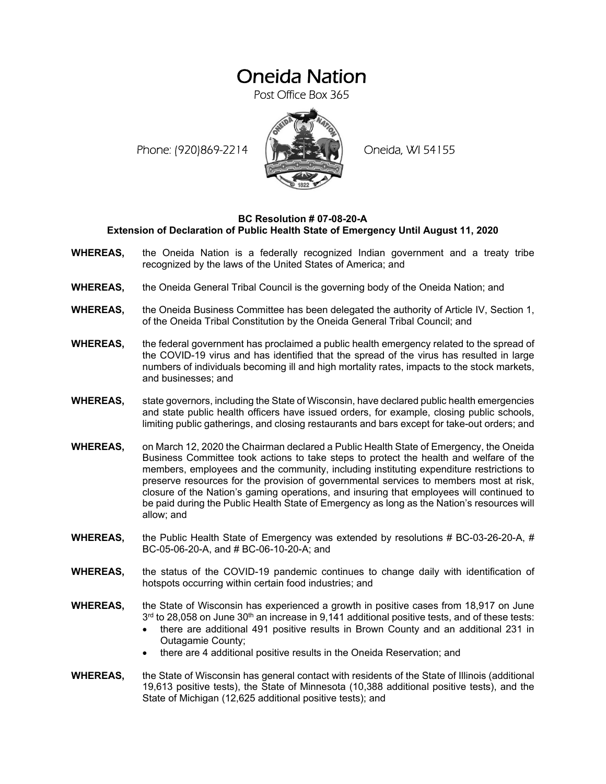## Oneida Nation

Post Office Box 365

Phone: (920)869-2214 (XXXXXXX) Oneida, WI 54155



## **BC Resolution # 07-08-20-A Extension of Declaration of Public Health State of Emergency Until August 11, 2020**

- **WHEREAS,** the Oneida Nation is a federally recognized Indian government and a treaty tribe recognized by the laws of the United States of America; and
- **WHEREAS,** the Oneida General Tribal Council is the governing body of the Oneida Nation; and
- **WHEREAS,** the Oneida Business Committee has been delegated the authority of Article IV, Section 1, of the Oneida Tribal Constitution by the Oneida General Tribal Council; and
- **WHEREAS,** the federal government has proclaimed a public health emergency related to the spread of the COVID-19 virus and has identified that the spread of the virus has resulted in large numbers of individuals becoming ill and high mortality rates, impacts to the stock markets, and businesses; and
- **WHEREAS,** state governors, including the State of Wisconsin, have declared public health emergencies and state public health officers have issued orders, for example, closing public schools, limiting public gatherings, and closing restaurants and bars except for take-out orders; and
- **WHEREAS,** on March 12, 2020 the Chairman declared a Public Health State of Emergency, the Oneida Business Committee took actions to take steps to protect the health and welfare of the members, employees and the community, including instituting expenditure restrictions to preserve resources for the provision of governmental services to members most at risk, closure of the Nation's gaming operations, and insuring that employees will continued to be paid during the Public Health State of Emergency as long as the Nation's resources will allow; and
- **WHEREAS,** the Public Health State of Emergency was extended by resolutions # BC-03-26-20-A, # BC-05-06-20-A, and # BC-06-10-20-A; and
- **WHEREAS,** the status of the COVID-19 pandemic continues to change daily with identification of hotspots occurring within certain food industries; and
- **WHEREAS,** the State of Wisconsin has experienced a growth in positive cases from 18,917 on June  $3<sup>rd</sup>$  to 28,058 on June  $30<sup>th</sup>$  an increase in 9,141 additional positive tests, and of these tests:
	- there are additional 491 positive results in Brown County and an additional 231 in Outagamie County;
	- there are 4 additional positive results in the Oneida Reservation; and
- **WHEREAS,** the State of Wisconsin has general contact with residents of the State of Illinois (additional 19,613 positive tests), the State of Minnesota (10,388 additional positive tests), and the State of Michigan (12,625 additional positive tests); and